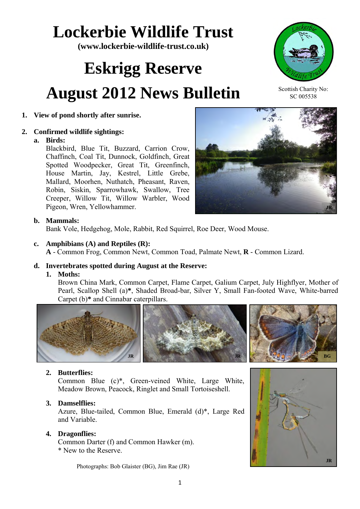# **Lockerbie Wildlife Trust**

**(www.lockerbie-wildlife-trust.co.uk)** 

# **Eskrigg Reserve August 2012 News Bulletin**

# **1. View of pond shortly after sunrise.**

# **2. Confirmed wildlife sightings:**

#### **a. Birds:**

Blackbird, Blue Tit, Buzzard, Carrion Crow, Chaffinch, Coal Tit, Dunnock, Goldfinch, Great Spotted Woodpecker, Great Tit, Greenfinch, House Martin, Jay, Kestrel, Little Grebe, Mallard, Moorhen, Nuthatch, Pheasant, Raven, Robin, Siskin, Sparrowhawk, Swallow, Tree Creeper, Willow Tit, Willow Warbler, Wood Pigeon, Wren, Yellowhammer.

# **b. Mammals:**

Bank Vole, Hedgehog, Mole, Rabbit, Red Squirrel, Roe Deer, Wood Mouse.

# **c. Amphibians (A) and Reptiles (R):**

**A** - Common Frog, Common Newt, Common Toad, Palmate Newt, **R** - Common Lizard.

#### **d. Invertebrates spotted during August at the Reserve:**

#### **1. Moths:**

Brown China Mark, Common Carpet, Flame Carpet, Galium Carpet, July Highflyer, Mother of Pearl, Scallop Shell (a)**\***, Shaded Broad-bar, Silver Y, Small Fan-footed Wave, White-barred Carpet (b)**\*** and Cinnabar caterpillars.



# **2. Butterflies:**

Common Blue (c)\*, Green-veined White, Large White, Meadow Brown, Peacock, Ringlet and Small Tortoiseshell.

#### **3. Damselflies:**

Azure, Blue-tailed, Common Blue, Emerald (d)\*, Large Red and Variable.

# **4. Dragonflies:**

 Common Darter (f) and Common Hawker (m). \* New to the Reserve.

Photographs: Bob Glaister (BG), Jim Rae (JR)





Scottish Charity No: SC 005538

**JR**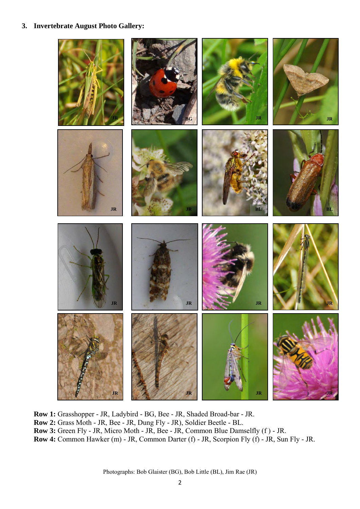#### **3. Invertebrate August Photo Gallery:**



 **Row 1:** Grasshopper - JR, Ladybird - BG, Bee - JR, Shaded Broad-bar - JR.  **Row 2:** Grass Moth - JR, Bee - JR, Dung Fly - JR), Soldier Beetle - BL.  **Row 3:** Green Fly - JR, Micro Moth - JR, Bee - JR, Common Blue Damselfly (f ) - JR.  **Row 4:** Common Hawker (m) - JR, Common Darter (f) - JR, Scorpion Fly (f) - JR, Sun Fly - JR.

Photographs: Bob Glaister (BG), Bob Little (BL), Jim Rae (JR)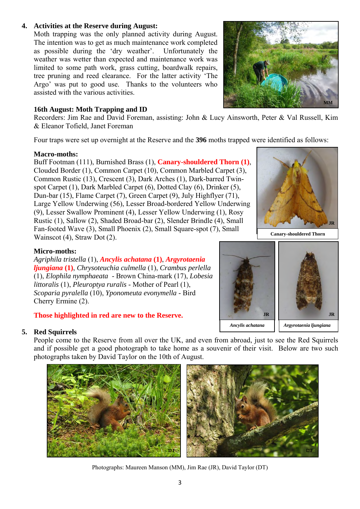#### **4. Activities at the Reserve during August:**

Moth trapping was the only planned activity during August. The intention was to get as much maintenance work completed as possible during the 'dry weather'. Unfortunately the weather was wetter than expected and maintenance work was limited to some path work, grass cutting, boardwalk repairs, tree pruning and reed clearance. For the latter activity 'The Argo' was put to good use. Thanks to the volunteers who assisted with the various activities.

#### **16th August: Moth Trapping and ID**

Recorders: Jim Rae and David Foreman, assisting: John & Lucy Ainsworth, Peter & Val Russell, Kim & Eleanor Tofield, Janet Foreman

Four traps were set up overnight at the Reserve and the **396** moths trapped were identified as follows:

#### **Macro-moths:**

 Buff Footman (111), Burnished Brass (1), **Canary-shouldered Thorn (1)**, Clouded Border (1), Common Carpet (10), Common Marbled Carpet (3), Common Rustic (13), Crescent (3), Dark Arches (1), Dark-barred Twinspot Carpet (1), Dark Marbled Carpet (6), Dotted Clay (6), Drinker (5), Dun-bar (15), Flame Carpet (7), Green Carpet (9), July Highflyer (71), Large Yellow Underwing (56), Lesser Broad-bordered Yellow Underwing (9), Lesser Swallow Prominent (4), Lesser Yellow Underwing (1), Rosy Rustic (1), Sallow (2), Shaded Broad-bar (2), Slender Brindle (4), Small Fan-footed Wave (3), Small Phoenix (2), Small Square-spot (7), Small Wainscot (4), Straw Dot (2).



**Canary-shouldered Thorn**

#### **Micro-moths:**

*Agriphila tristella* (1), *Ancylis achatana* **(1)**, *Argyrotaenia ljungiana* **(1)**, *Chrysoteuchia culmella* (1), *Crambus perlella* (1), *Elophila nymphaeata* - Brown China-mark (17), *Lobesia littoralis* (1), *Pleuroptya ruralis* - Mother of Pearl (1), *Scoparia pyralella* (10), *Yponomeuta evonymella* - Bird Cherry Ermine (2).

#### **Those highlighted in red are new to the Reserve.**

#### **5. Red Squirrels**

People come to the Reserve from all over the UK, and even from abroad, just to see the Red Squirrels and if possible get a good photograph to take home as a souvenir of their visit. Below are two such photographs taken by David Taylor on the 10th of August.



Photographs: Maureen Manson (MM), Jim Rae (JR), David Taylor (DT)





**JR**

*Ancylis achatana Argyrotaenia ljungiana*

**JR**